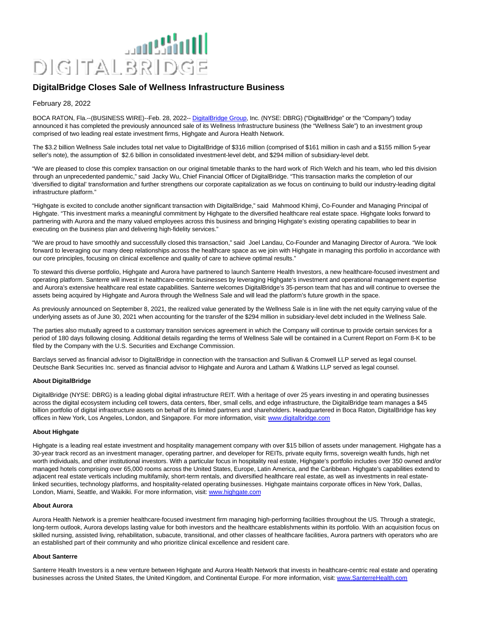

# **DigitalBridge Closes Sale of Wellness Infrastructure Business**

# February 28, 2022

BOCA RATON, Fla.--(BUSINESS WIRE)--Feb. 28, 2022-[- DigitalBridge Group,](https://cts.businesswire.com/ct/CT?id=smartlink&url=http%3A%2F%2Fwww.digitalbridge.com%2F&esheet=52586967&newsitemid=20220228006090&lan=en-US&anchor=DigitalBridge+Group&index=1&md5=cb42e47b663606d0a4307786f2466d57) Inc. (NYSE: DBRG) ("DigitalBridge" or the "Company") today announced it has completed the previously announced sale of its Wellness Infrastructure business (the "Wellness Sale") to an investment group comprised of two leading real estate investment firms, Highgate and Aurora Health Network.

The \$3.2 billion Wellness Sale includes total net value to DigitalBridge of \$316 million (comprised of \$161 million in cash and a \$155 million 5-year seller's note), the assumption of \$2.6 billion in consolidated investment-level debt, and \$294 million of subsidiary-level debt.

"We are pleased to close this complex transaction on our original timetable thanks to the hard work of Rich Welch and his team, who led this division through an unprecedented pandemic," said Jacky Wu, Chief Financial Officer of DigitalBridge. "This transaction marks the completion of our 'diversified to digital' transformation and further strengthens our corporate capitalization as we focus on continuing to build our industry-leading digital infrastructure platform."

"Highgate is excited to conclude another significant transaction with DigitalBridge," said Mahmood Khimji, Co-Founder and Managing Principal of Highgate. "This investment marks a meaningful commitment by Highgate to the diversified healthcare real estate space. Highgate looks forward to partnering with Aurora and the many valued employees across this business and bringing Highgate's existing operating capabilities to bear in executing on the business plan and delivering high-fidelity services."

"We are proud to have smoothly and successfully closed this transaction," said Joel Landau, Co-Founder and Managing Director of Aurora. "We look forward to leveraging our many deep relationships across the healthcare space as we join with Highgate in managing this portfolio in accordance with our core principles, focusing on clinical excellence and quality of care to achieve optimal results."

To steward this diverse portfolio, Highgate and Aurora have partnered to launch Santerre Health Investors, a new healthcare-focused investment and operating platform. Santerre will invest in healthcare-centric businesses by leveraging Highgate's investment and operational management expertise and Aurora's extensive healthcare real estate capabilities. Santerre welcomes DigitalBridge's 35-person team that has and will continue to oversee the assets being acquired by Highgate and Aurora through the Wellness Sale and will lead the platform's future growth in the space.

As previously announced on September 8, 2021, the realized value generated by the Wellness Sale is in line with the net equity carrying value of the underlying assets as of June 30, 2021 when accounting for the transfer of the \$294 million in subsidiary-level debt included in the Wellness Sale.

The parties also mutually agreed to a customary transition services agreement in which the Company will continue to provide certain services for a period of 180 days following closing. Additional details regarding the terms of Wellness Sale will be contained in a Current Report on Form 8-K to be filed by the Company with the U.S. Securities and Exchange Commission.

Barclays served as financial advisor to DigitalBridge in connection with the transaction and Sullivan & Cromwell LLP served as legal counsel. Deutsche Bank Securities Inc. served as financial advisor to Highgate and Aurora and Latham & Watkins LLP served as legal counsel.

### **About DigitalBridge**

DigitalBridge (NYSE: DBRG) is a leading global digital infrastructure REIT. With a heritage of over 25 years investing in and operating businesses across the digital ecosystem including cell towers, data centers, fiber, small cells, and edge infrastructure, the DigitalBridge team manages a \$45 billion portfolio of digital infrastructure assets on behalf of its limited partners and shareholders. Headquartered in Boca Raton, DigitalBridge has key offices in New York, Los Angeles, London, and Singapore. For more information, visit[: www.digitalbridge.com](https://cts.businesswire.com/ct/CT?id=smartlink&url=http%3A%2F%2Fwww.digitalbridge.com&esheet=52586967&newsitemid=20220228006090&lan=en-US&anchor=www.digitalbridge.com&index=2&md5=3e585e3989f3e23d9097650795676c3f)

# **About Highgate**

Highgate is a leading real estate investment and hospitality management company with over \$15 billion of assets under management. Highgate has a 30-year track record as an investment manager, operating partner, and developer for REITs, private equity firms, sovereign wealth funds, high net worth individuals, and other institutional investors. With a particular focus in hospitality real estate. Highgate's portfolio includes over 350 owned and/or managed hotels comprising over 65,000 rooms across the United States, Europe, Latin America, and the Caribbean. Highgate's capabilities extend to adjacent real estate verticals including multifamily, short-term rentals, and diversified healthcare real estate, as well as investments in real estatelinked securities, technology platforms, and hospitality-related operating businesses. Highgate maintains corporate offices in New York, Dallas, London, Miami, Seattle, and Waikiki. For more information, visit[: www.highgate.com](https://cts.businesswire.com/ct/CT?id=smartlink&url=http%3A%2F%2Fwww.highgate.com&esheet=52586967&newsitemid=20220228006090&lan=en-US&anchor=www.highgate.com&index=3&md5=f786a6340184ea28ec2cb2214c5ec536)

#### **About Aurora**

Aurora Health Network is a premier healthcare-focused investment firm managing high-performing facilities throughout the US. Through a strategic, long-term outlook, Aurora develops lasting value for both investors and the healthcare establishments within its portfolio. With an acquisition focus on skilled nursing, assisted living, rehabilitation, subacute, transitional, and other classes of healthcare facilities, Aurora partners with operators who are an established part of their community and who prioritize clinical excellence and resident care.

#### **About Santerre**

Santerre Health Investors is a new venture between Highgate and Aurora Health Network that invests in healthcare-centric real estate and operating businesses across the United States, the United Kingdom, and Continental Europe. For more information, visit: [www.SanterreHealth.com](https://cts.businesswire.com/ct/CT?id=smartlink&url=http%3A%2F%2Fwww.SanterreHealth.com&esheet=52586967&newsitemid=20220228006090&lan=en-US&anchor=www.SanterreHealth.com&index=4&md5=f38fe5e460154aa6a2ef2584705510a4)